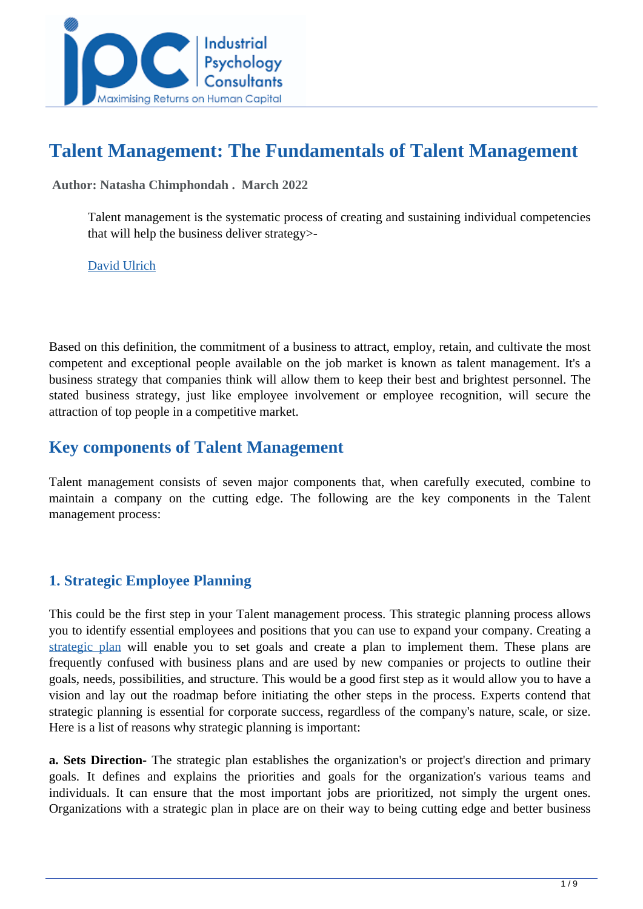

# **Talent Management: The Fundamentals of Talent Management**

 **Author: Natasha Chimphondah . March 2022** 

Talent management is the systematic process of creating and sustaining individual competencies that will help the business deliver strategy>-

[David Ulrich](https://www.google.com/imgres?imgurl=https%3A%2F%2Fi.pinimg.com%2Foriginals%2F99%2F15%2F95%2F9915956768adab0b59c25758ee0bf2ce.png&imgrefurl=https%3A%2F%2Fwww.pinterest.com%2Fpin%2F796363146578872522%2F&tbnid=NtWpFCsR9cVAFM&vet=12ahUKEwj5yq7axcf2AhXlE2MBHba1BYIQMygCegUIARC5AQ..i&docid=_0YFyhDKZ66M6M&w=800&h=800&q=inspirational%20talent%20management%20quotes&hl=en&ved=2ahUKEwj5yq7axcf2AhXlE2MBHba1BYIQMygCegUIARC5AQ)

Based on this definition, the commitment of a business to attract, employ, retain, and cultivate the most competent and exceptional people available on the job market is known as talent management. It's a business strategy that companies think will allow them to keep their best and brightest personnel. The stated business strategy, just like employee involvement or employee recognition, will secure the attraction of top people in a competitive market.

## **Key components of Talent Management**

Talent management consists of seven major components that, when carefully executed, combine to maintain a company on the cutting edge. The following are the key components in the Talent management process:

## **1. Strategic Employee Planning**

This could be the first step in your Talent management process. This strategic planning process allows you to identify essential employees and positions that you can use to expand your company. Creating a [strategic plan](https://talentedge.com/articles/need-strategic-plan/) will enable you to set goals and create a plan to implement them. These plans are frequently confused with business plans and are used by new companies or projects to outline their goals, needs, possibilities, and structure. This would be a good first step as it would allow you to have a vision and lay out the roadmap before initiating the other steps in the process. Experts contend that strategic planning is essential for corporate success, regardless of the company's nature, scale, or size. Here is a list of reasons why strategic planning is important:

**a. Sets Direction-** The strategic plan establishes the organization's or project's direction and primary goals. It defines and explains the priorities and goals for the organization's various teams and individuals. It can ensure that the most important jobs are prioritized, not simply the urgent ones. Organizations with a strategic plan in place are on their way to being cutting edge and better business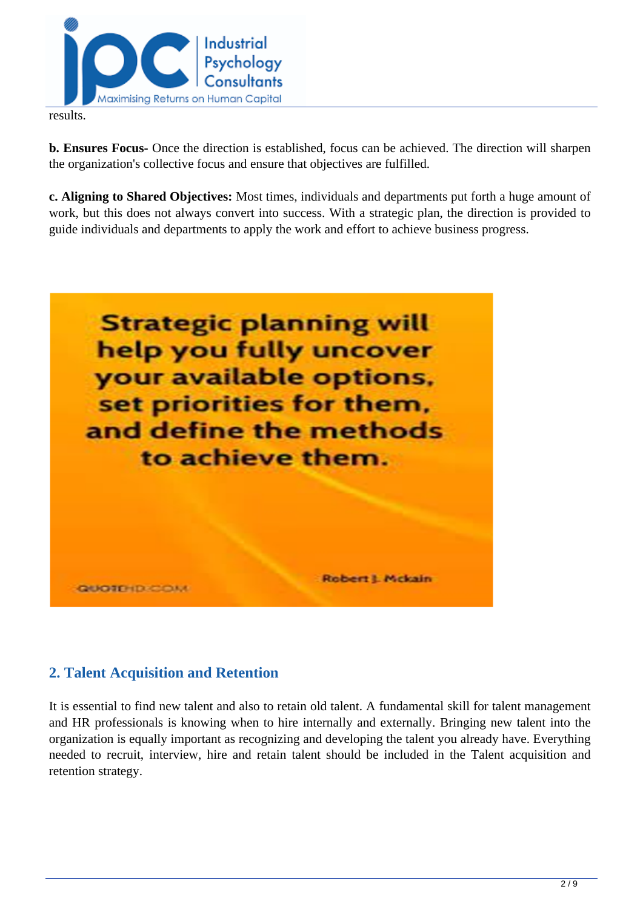

results.

**b. Ensures Focus-** Once the direction is established, focus can be achieved. The direction will sharpen the organization's collective focus and ensure that objectives are fulfilled.

**c. Aligning to Shared Objectives:** Most times, individuals and departments put forth a huge amount of work, but this does not always convert into success. With a strategic plan, the direction is provided to guide individuals and departments to apply the work and effort to achieve business progress.



## **2. Talent Acquisition and Retention**

It is essential to find new talent and also to retain old talent. A fundamental skill for talent management and HR professionals is knowing when to hire internally and externally. Bringing new talent into the organization is equally important as recognizing and developing the talent you already have. Everything needed to recruit, interview, hire and retain talent should be included in the Talent acquisition and retention strategy.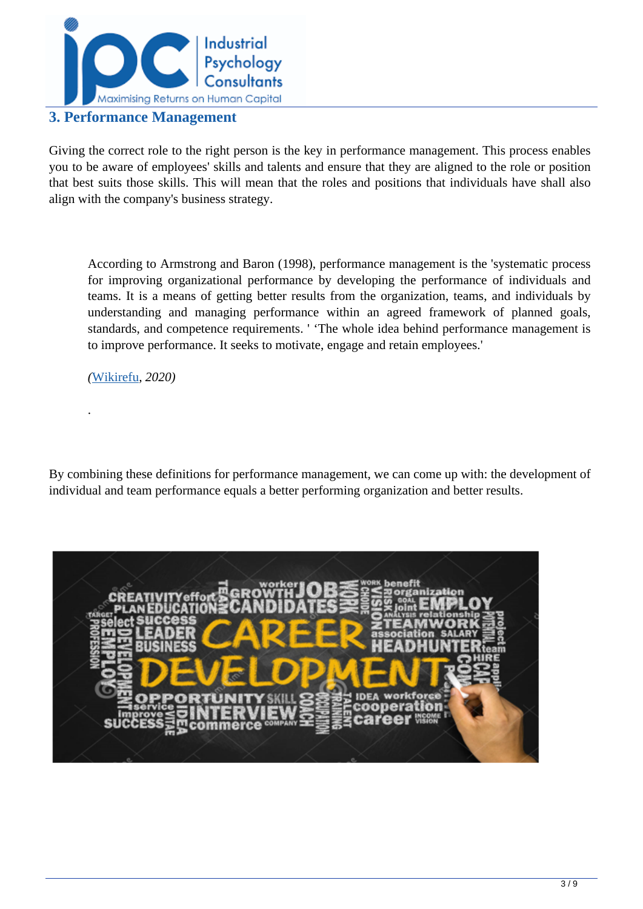

### **3. Performance Management**

Giving the correct role to the right person is the key in performance management. This process enables you to be aware of employees' skills and talents and ensure that they are aligned to the role or position that best suits those skills. This will mean that the roles and positions that individuals have shall also align with the company's business strategy.

According to Armstrong and Baron (1998), performance management is the 'systematic process for improving organizational performance by developing the performance of individuals and teams. It is a means of getting better results from the organization, teams, and individuals by understanding and managing performance within an agreed framework of planned goals, standards, and competence requirements. ' 'The whole idea behind performance management is to improve performance. It seeks to motivate, engage and retain employees.'

*(*[Wikirefu](../articles/what-is-talent-management)*, 2020)*

.

By combining these definitions for performance management, we can come up with: the development of individual and team performance equals a better performing organization and better results.

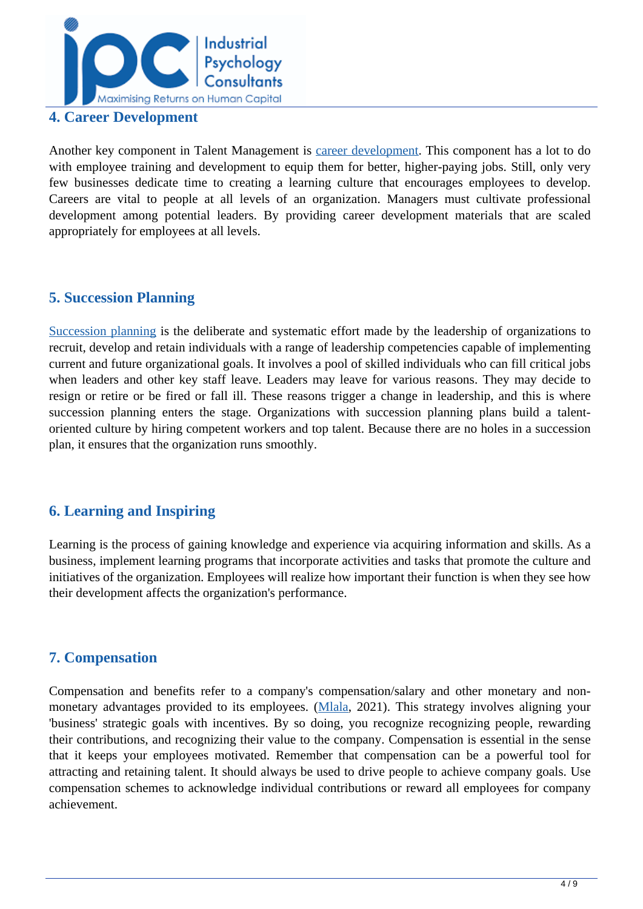

### **4. Career Development**

Another key component in Talent Management is [career development.](https://www.whatishumanresource.com/career-development) This component has a lot to do with employee training and development to equip them for better, higher-paying jobs. Still, only very few businesses dedicate time to creating a learning culture that encourages employees to develop. Careers are vital to people at all levels of an organization. Managers must cultivate professional development among potential leaders. By providing career development materials that are scaled appropriately for employees at all levels.

### **5. Succession Planning**

[Succession planning](../articles/global-trends-influencing-succession-planning) is the deliberate and systematic effort made by the leadership of organizations to recruit, develop and retain individuals with a range of leadership competencies capable of implementing current and future organizational goals. It involves a pool of skilled individuals who can fill critical jobs when leaders and other key staff leave. Leaders may leave for various reasons. They may decide to resign or retire or be fired or fall ill. These reasons trigger a change in leadership, and this is where succession planning enters the stage. Organizations with succession planning plans build a talentoriented culture by hiring competent workers and top talent. Because there are no holes in a succession plan, it ensures that the organization runs smoothly.

## **6. Learning and Inspiring**

Learning is the process of gaining knowledge and experience via acquiring information and skills. As a business, implement learning programs that incorporate activities and tasks that promote the culture and initiatives of the organization. Employees will realize how important their function is when they see how their development affects the organization's performance.

## **7. Compensation**

Compensation and benefits refer to a company's compensation/salary and other monetary and non-monetary advantages provided to its employees. ([Mlala,](../articles/compensation-and-benefits) 2021). This strategy involves aligning your 'business' strategic goals with incentives. By so doing, you recognize recognizing people, rewarding their contributions, and recognizing their value to the company. Compensation is essential in the sense that it keeps your employees motivated. Remember that compensation can be a powerful tool for attracting and retaining talent. It should always be used to drive people to achieve company goals. Use compensation schemes to acknowledge individual contributions or reward all employees for company achievement.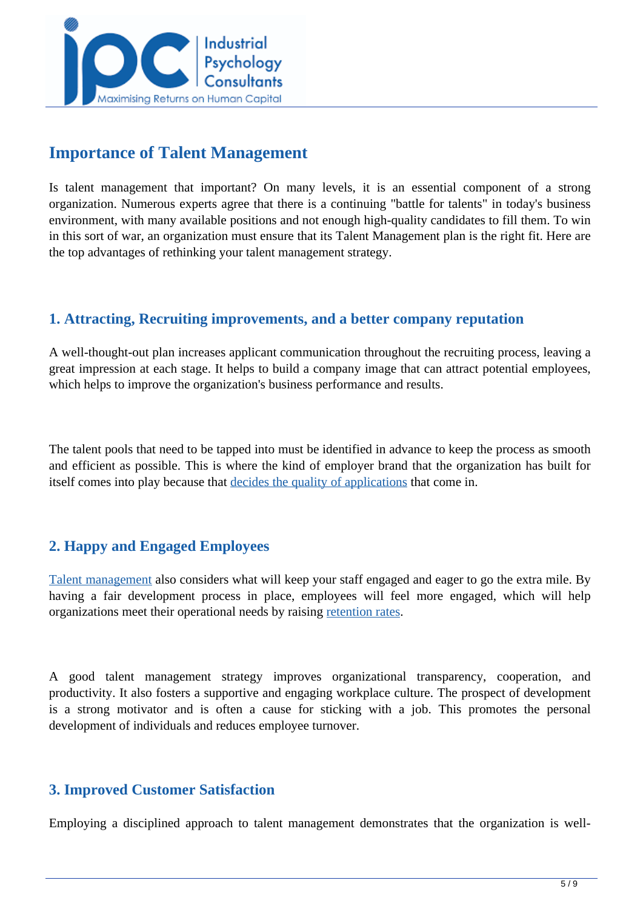

## **Importance of Talent Management**

Is talent management that important? On many levels, it is an essential component of a strong organization. Numerous experts agree that there is a continuing "battle for talents" in today's business environment, with many available positions and not enough high-quality candidates to fill them. To win in this sort of war, an organization must ensure that its Talent Management plan is the right fit. Here are the top advantages of rethinking your talent management strategy.

## **1. Attracting, Recruiting improvements, and a better company reputation**

A well-thought-out plan increases applicant communication throughout the recruiting process, leaving a great impression at each stage. It helps to build a company image that can attract potential employees, which helps to improve the organization's business performance and results.

The talent pools that need to be tapped into must be identified in advance to keep the process as smooth and efficient as possible. This is where the kind of employer brand that the organization has built for itself comes into play because that [decides the quality of applications](../articles/Everything-You-Need-To-Know-About-Talent-Management-) that come in.

## **2. Happy and Engaged Employees**

[Talent management](../articles/what-is-talent-management) also considers what will keep your staff engaged and eager to go the extra mile. By having a fair development process in place, employees will feel more engaged, which will help organizations meet their operational needs by raising [retention rates.](https://lattice.com/library/how-to-calculate-employee-retention-rate)

A good talent management strategy improves organizational transparency, cooperation, and productivity. It also fosters a supportive and engaging workplace culture. The prospect of development is a strong motivator and is often a cause for sticking with a job. This promotes the personal development of individuals and reduces employee turnover.

## **3. Improved Customer Satisfaction**

Employing a disciplined approach to talent management demonstrates that the organization is well-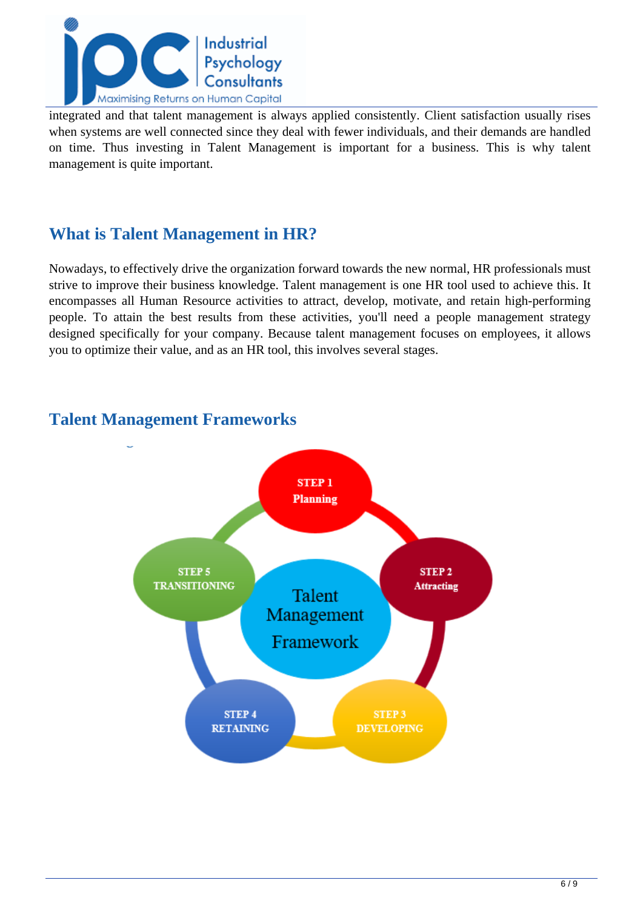

integrated and that talent management is always applied consistently. Client satisfaction usually rises when systems are well connected since they deal with fewer individuals, and their demands are handled on time. Thus investing in Talent Management is important for a business. This is why talent management is quite important.

## **What is Talent Management in HR?**

Nowadays, to effectively drive the organization forward towards the new normal, HR professionals must strive to improve their business knowledge. Talent management is one HR tool used to achieve this. It encompasses all Human Resource activities to attract, develop, motivate, and retain high-performing people. To attain the best results from these activities, you'll need a people management strategy designed specifically for your company. Because talent management focuses on employees, it allows you to optimize their value, and as an HR tool, this involves several stages.



## **Talent Management Frameworks**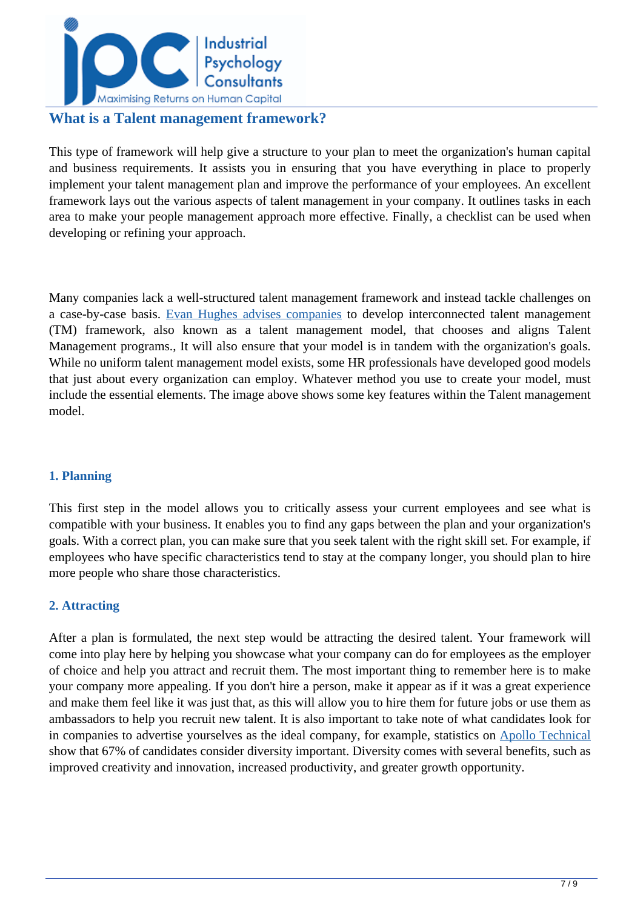

## **What is a Talent management framework?**

This type of framework will help give a structure to your plan to meet the organization's human capital and business requirements. It assists you in ensuring that you have everything in place to properly implement your talent management plan and improve the performance of your employees. An excellent framework lays out the various aspects of talent management in your company. It outlines tasks in each area to make your people management approach more effective. Finally, a checklist can be used when developing or refining your approach.

Many companies lack a well-structured talent management framework and instead tackle challenges on a case-by-case basis. [Evan Hughes advises companies](https://hr.mcleanco.com/research/ss/develop-a-talent-management-framework) to develop interconnected talent management (TM) framework, also known as a talent management model, that chooses and aligns Talent Management programs., It will also ensure that your model is in tandem with the organization's goals. While no uniform talent management model exists, some HR professionals have developed good models that just about every organization can employ. Whatever method you use to create your model, must include the essential elements. The image above shows some key features within the Talent management model.

### **1. Planning**

This first step in the model allows you to critically assess your current employees and see what is compatible with your business. It enables you to find any gaps between the plan and your organization's goals. With a correct plan, you can make sure that you seek talent with the right skill set. For example, if employees who have specific characteristics tend to stay at the company longer, you should plan to hire more people who share those characteristics.

### **2. Attracting**

After a plan is formulated, the next step would be attracting the desired talent. Your framework will come into play here by helping you showcase what your company can do for employees as the employer of choice and help you attract and recruit them. The most important thing to remember here is to make your company more appealing. If you don't hire a person, make it appear as if it was a great experience and make them feel like it was just that, as this will allow you to hire them for future jobs or use them as ambassadors to help you recruit new talent. It is also important to take note of what candidates look for in companies to advertise yourselves as the ideal company, for example, statistics on [Apollo Technical](https://www.apollotechnical.com/recruitment-statistics/) show that 67% of candidates consider diversity important. Diversity comes with several benefits, such as improved creativity and innovation, increased productivity, and greater growth opportunity.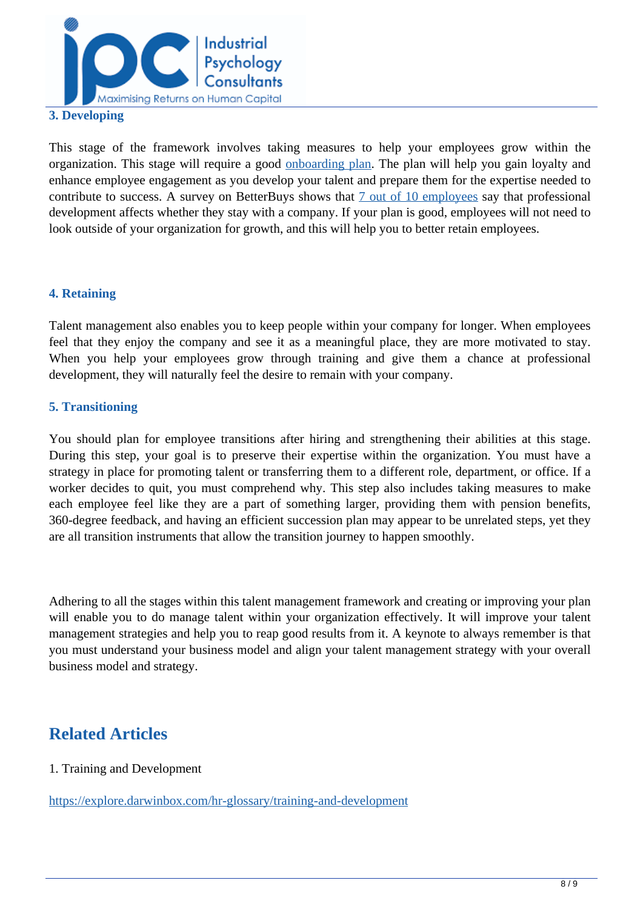

#### **3. Developing**

This stage of the framework involves taking measures to help your employees grow within the organization. This stage will require a good [onboarding plan.](https://www.toolbox.com/hr/recruitment-onboarding/articles/what-is-new-employee-onboarding/#_001) The plan will help you gain loyalty and enhance employee engagement as you develop your talent and prepare them for the expertise needed to contribute to success. A survey on BetterBuys shows that [7 out of 10 employees](https://www.betterbuys.com/lms/professional-development-stats/) say that professional development affects whether they stay with a company. If your plan is good, employees will not need to look outside of your organization for growth, and this will help you to better retain employees.

#### **4. Retaining**

Talent management also enables you to keep people within your company for longer. When employees feel that they enjoy the company and see it as a meaningful place, they are more motivated to stay. When you help your employees grow through training and give them a chance at professional development, they will naturally feel the desire to remain with your company.

#### **5. Transitioning**

You should plan for employee transitions after hiring and strengthening their abilities at this stage. During this step, your goal is to preserve their expertise within the organization. You must have a strategy in place for promoting talent or transferring them to a different role, department, or office. If a worker decides to quit, you must comprehend why. This step also includes taking measures to make each employee feel like they are a part of something larger, providing them with pension benefits, 360-degree feedback, and having an efficient succession plan may appear to be unrelated steps, yet they are all transition instruments that allow the transition journey to happen smoothly.

Adhering to all the stages within this talent management framework and creating or improving your plan will enable you to do manage talent within your organization effectively. It will improve your talent management strategies and help you to reap good results from it. A keynote to always remember is that you must understand your business model and align your talent management strategy with your overall business model and strategy.

## **Related Articles**

#### 1. Training and Development

<https://explore.darwinbox.com/hr-glossary/training-and-development>